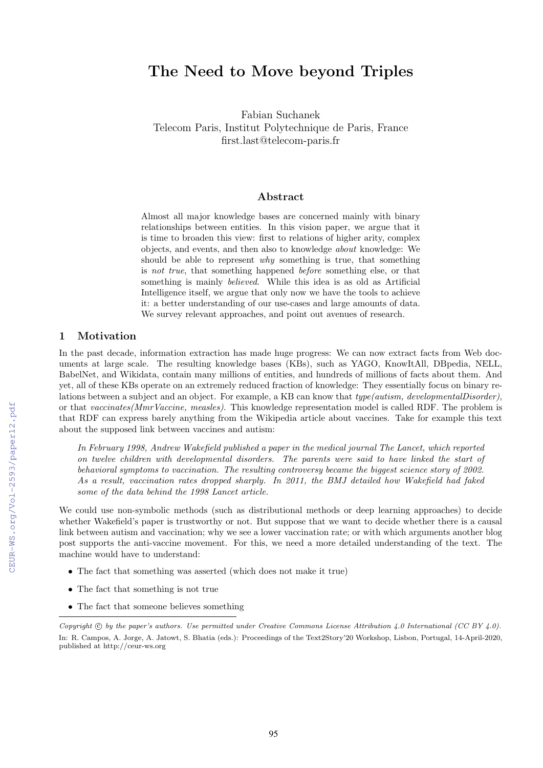# The Need to Move beyond Triples

Fabian Suchanek Telecom Paris, Institut Polytechnique de Paris, France first.last@telecom-paris.fr

## Abstract

Almost all major knowledge bases are concerned mainly with binary relationships between entities. In this vision paper, we argue that it is time to broaden this view: first to relations of higher arity, complex objects, and events, and then also to knowledge *about* knowledge: We should be able to represent *why* something is true, that something is *not true*, that something happened *before* something else, or that something is mainly *believed*. While this idea is as old as Artificial Intelligence itself, we argue that only now we have the tools to achieve it: a better understanding of our use-cases and large amounts of data. We survey relevant approaches, and point out avenues of research.

## 1 Motivation

In the past decade, information extraction has made huge progress: We can now extract facts from Web documents at large scale. The resulting knowledge bases (KBs), such as YAGO, KnowItAll, DBpedia, NELL, BabelNet, and Wikidata, contain many millions of entities, and hundreds of millions of facts about them. And yet, all of these KBs operate on an extremely reduced fraction of knowledge: They essentially focus on binary relations between a subject and an object. For example, a KB can know that *type(autism, developmentalDisorder)*, or that *vaccinates(MmrVaccine, measles)*. This knowledge representation model is called RDF. The problem is that RDF can express barely anything from the Wikipedia article about vaccines. Take for example this text about the supposed link between vaccines and autism:

*In February 1998, Andrew Wakefield published a paper in the medical journal The Lancet, which reported on twelve children with developmental disorders. The parents were said to have linked the start of behavioral symptoms to vaccination. The resulting controversy became the biggest science story of 2002. As a result, vaccination rates dropped sharply. In 2011, the BMJ detailed how Wakefield had faked some of the data behind the 1998 Lancet article.*

We could use non-symbolic methods (such as distributional methods or deep learning approaches) to decide whether Wakefield's paper is trustworthy or not. But suppose that we want to decide whether there is a causal link between autism and vaccination; why we see a lower vaccination rate; or with which arguments another blog post supports the anti-vaccine movement. For this, we need a more detailed understanding of the text. The machine would have to understand:

- *•* The fact that something was asserted (which does not make it true)
- *•* The fact that something is not true
- The fact that someone believes something

*Copyright*  $\odot$  *by the paper's authors. Use permitted under Creative Commons License Attribution 4.0 International (CC BY 4.0).* In: R. Campos, A. Jorge, A. Jatowt, S. Bhatia (eds.): Proceedings of the Text2Story'20 Workshop, Lisbon, Portugal, 14-April-2020, published at http://ceur-ws.org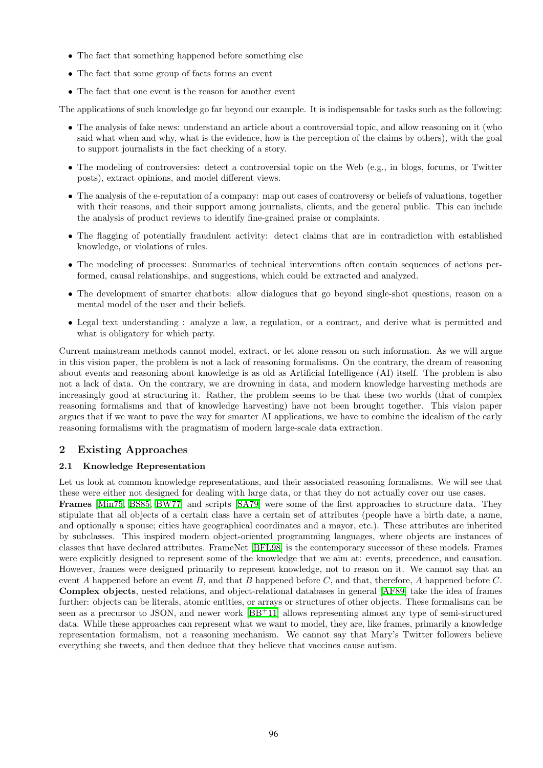- *•* The fact that something happened before something else
- *•* The fact that some group of facts forms an event
- *•* The fact that one event is the reason for another event

The applications of such knowledge go far beyond our example. It is indispensable for tasks such as the following:

- The analysis of fake news: understand an article about a controversial topic, and allow reasoning on it (who said what when and why, what is the evidence, how is the perception of the claims by others), with the goal to support journalists in the fact checking of a story.
- The modeling of controversies: detect a controversial topic on the Web (e.g., in blogs, forums, or Twitter posts), extract opinions, and model different views.
- The analysis of the e-reputation of a company: map out cases of controversy or beliefs of valuations, together with their reasons, and their support among journalists, clients, and the general public. This can include the analysis of product reviews to identify fine-grained praise or complaints.
- The flagging of potentially fraudulent activity: detect claims that are in contradiction with established knowledge, or violations of rules.
- The modeling of processes: Summaries of technical interventions often contain sequences of actions performed, causal relationships, and suggestions, which could be extracted and analyzed.
- The development of smarter chatbots: allow dialogues that go beyond single-shot questions, reason on a mental model of the user and their beliefs.
- Legal text understanding : analyze a law, a regulation, or a contract, and derive what is permitted and what is obligatory for which party.

Current mainstream methods cannot model, extract, or let alone reason on such information. As we will argue in this vision paper, the problem is not a lack of reasoning formalisms. On the contrary, the dream of reasoning about events and reasoning about knowledge is as old as Artificial Intelligence (AI) itself. The problem is also not a lack of data. On the contrary, we are drowning in data, and modern knowledge harvesting methods are increasingly good at structuring it. Rather, the problem seems to be that these two worlds (that of complex reasoning formalisms and that of knowledge harvesting) have not been brought together. This vision paper argues that if we want to pave the way for smarter AI applications, we have to combine the idealism of the early reasoning formalisms with the pragmatism of modern large-scale data extraction.

## 2 Existing Approaches

#### 2.1 Knowledge Representation

Let us look at common knowledge representations, and their associated reasoning formalisms. We will see that these were either not designed for dealing with large data, or that they do not actually cover our use cases. Frames Min75, [BS85,](#page-6-0) BW77 and scripts SA79 were some of the first approaches to structure data. They stipulate that all objects of a certain class have a certain set of attributes (people have a birth date, a name, and optionally a spouse; cities have geographical coordinates and a mayor, etc.). These attributes are inherited by subclasses. This inspired modern object-oriented programming languages, where objects are instances of classes that have declared attributes. FrameNet [\[BFL98\]](#page-6-2) is the contemporary successor of these models. Frames were explicitly designed to represent some of the knowledge that we aim at: events, precedence, and causation. However, frames were designed primarily to represent knowledge, not to reason on it. We cannot say that an event *A* happened before an event *B*, and that *B* happened before *C*, and that, therefore, *A* happened before *C*. Complex objects, nested relations, and object-relational databases in general [\[AF89\]](#page-6-3) take the idea of frames further: objects can be literals, atomic entities, or arrays or structures of other objects. These formalisms can be seen as a precursor to JSON, and newer work  $\boxed{BB+11}$  allows representing almost any type of semi-structured data. While these approaches can represent what we want to model, they are, like frames, primarily a knowledge representation formalism, not a reasoning mechanism. We cannot say that Mary's Twitter followers believe everything she tweets, and then deduce that they believe that vaccines cause autism.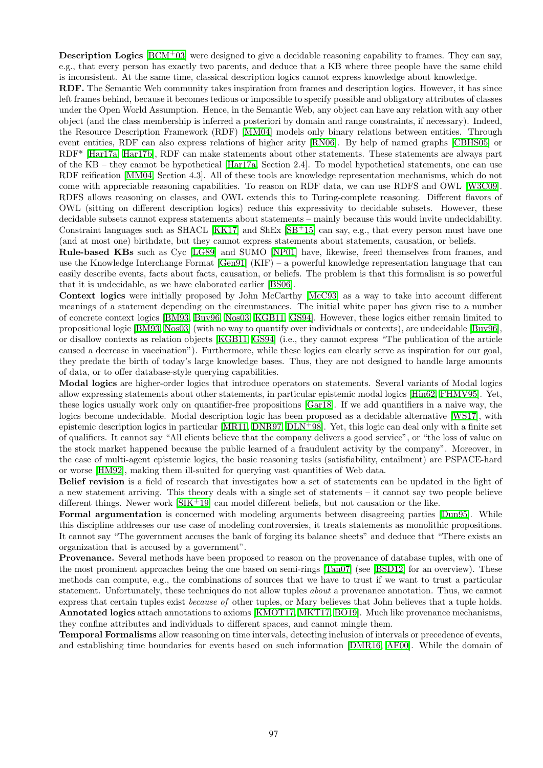**Description Logics**  $\boxed{BCM^+03}$  were designed to give a decidable reasoning capability to frames. They can say, e.g., that every person has exactly two parents, and deduce that a KB where three people have the same child is inconsistent. At the same time, classical description logics cannot express knowledge about knowledge.

RDF. The Semantic Web community takes inspiration from frames and description logics. However, it has since left frames behind, because it becomes tedious or impossible to specify possible and obligatory attributes of classes under the Open World Assumption. Hence, in the Semantic Web, any object can have any relation with any other object (and the class membership is inferred a posteriori by domain and range constraints, if necessary). Indeed, the Resource Description Framework (RDF) [\[MM04\]](#page-8-2) models only binary relations between entities. Through event entities, RDF can also express relations of higher arity **RN06**. By help of named graphs **CBHS05** or RDF<sup>\*</sup> Har17a, Har17b, RDF can make statements about other statements. These statements are always part of the KB – they cannot be hypothetical  $\frac{Har17a}{Har17a}$ , Section 2.4. To model hypothetical statements, one can use RDF reification **MM04**, Section 4.3. All of these tools are knowledge representation mechanisms, which do not come with appreciable reasoning capabilities. To reason on RDF data, we can use RDFS and OWL [\[W3C09\]](#page-9-0). RDFS allows reasoning on classes, and OWL extends this to Turing-complete reasoning. Different flavors of OWL (sitting on different description logics) reduce this expressivity to decidable subsets. However, these decidable subsets cannot express statements about statements – mainly because this would invite undecidability. Constraint languages such as SHACL  $\overline{KKT}$  and ShEx  $\overline{SB^+15}$  can say, e.g., that every person must have one (and at most one) birthdate, but they cannot express statements about statements, causation, or beliefs.

Rule-based KBs such as Cyc **LG89** and SUMO **NP01** have, likewise, freed themselves from frames, and use the Knowledge Interchange Format  $\boxed{Gen91}$  (KIF) – a powerful knowledge representation language that can easily describe events, facts about facts, causation, or beliefs. The problem is that this formalism is so powerful that it is undecidable, as we have elaborated earlier [\[BS06\]](#page-6-7).

Context logics were initially proposed by John McCarthy  $\text{McC93}$  as a way to take into account different meanings of a statement depending on the circumstances. The initial white paper has given rise to a number of concrete context logics [\[BM93,](#page-6-8) [Buv96,](#page-6-9) [Nos03,](#page-8-8) [KGB11,](#page-7-4) [GS94\]](#page-7-5). However, these logics either remain limited to propositional logic [\[BM93,](#page-6-8) [Nos03\]](#page-8-8) (with no way to quantify over individuals or contexts), are undecidable [\[Buv96\]](#page-6-9), or disallow contexts as relation objects **KGB11**, GS94 (i.e., they cannot express "The publication of the article caused a decrease in vaccination"). Furthermore, while these logics can clearly serve as inspiration for our goal, they predate the birth of today's large knowledge bases. Thus, they are not designed to handle large amounts of data, or to offer database-style querying capabilities.

Modal logics are higher-order logics that introduce operators on statements. Several variants of Modal logics allow expressing statements about other statements, in particular epistemic modal logics **Hin62**, FHMV95. Yet, these logics usually work only on quantifier-free propositions [\[Gar18\]](#page-7-8). If we add quantifiers in a naive way, the logics become undecidable. Modal description logic has been proposed as a decidable alternative [\[WS17\]](#page-9-1), with epistemic description logics in particular  $MR11$ ,  $DRR97$ ,  $DLN+98$ . Yet, this logic can deal only with a finite set of qualifiers. It cannot say "All clients believe that the company delivers a good service", or "the loss of value on the stock market happened because the public learned of a fraudulent activity by the company". Moreover, in the case of multi-agent epistemic logics, the basic reasoning tasks (satisfiability, entailment) are PSPACE-hard or worse [\[HM92\]](#page-7-10), making them ill-suited for querying vast quantities of Web data.

Belief revision is a field of research that investigates how a set of statements can be updated in the light of a new statement arriving. This theory deals with a single set of statements – it cannot say two people believe different things. Newer work  $\sqrt{\text{SIK}^+19}$  can model different beliefs, but not causation or the like.

Formal argumentation is concerned with modeling arguments between disagreeing parties **Dun95**. While this discipline addresses our use case of modeling controversies, it treats statements as monolithic propositions. It cannot say "The government accuses the bank of forging its balance sheets" and deduce that "There exists an organization that is accused by a government".

Provenance. Several methods have been proposed to reason on the provenance of database tuples, with one of the most prominent approaches being the one based on semi-rings  $\boxed{\text{Tan}07}$  (see  $\boxed{\text{BSD}12}$  for an overview). These methods can compute, e.g., the combinations of sources that we have to trust if we want to trust a particular statement. Unfortunately, these techniques do not allow tuples *about* a provenance annotation. Thus, we cannot express that certain tuples exist *because of* other tuples, or Mary believes that John believes that a tuple holds. Annotated logics attach annotations to axioms **[\[KMOT17,](#page-7-12) [MKT17,](#page-8-12) [BO19\]](#page-6-12)**. Much like provenance mechanisms, they confine attributes and individuals to different spaces, and cannot mingle them.

Temporal Formalisms allow reasoning on time intervals, detecting inclusion of intervals or precedence of events, and establishing time boundaries for events based on such information **DMR16**, AF00. While the domain of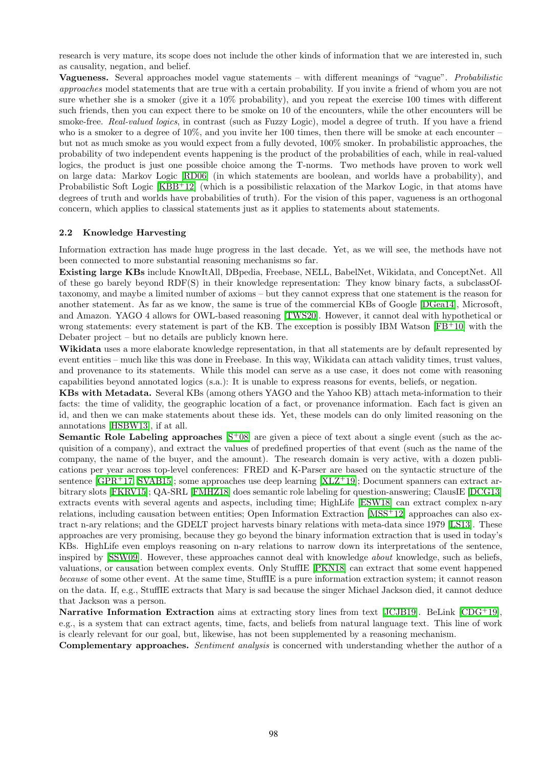research is very mature, its scope does not include the other kinds of information that we are interested in, such as causality, negation, and belief.

Vagueness. Several approaches model vague statements – with different meanings of "vague". *Probabilistic approaches* model statements that are true with a certain probability. If you invite a friend of whom you are not sure whether she is a smoker (give it a  $10\%$  probability), and you repeat the exercise 100 times with different such friends, then you can expect there to be smoke on 10 of the encounters, while the other encounters will be smoke-free. *Real-valued logics*, in contrast (such as Fuzzy Logic), model a degree of truth. If you have a friend who is a smoker to a degree of  $10\%$ , and you invite her 100 times, then there will be smoke at each encounter – but not as much smoke as you would expect from a fully devoted, 100% smoker. In probabilistic approaches, the probability of two independent events happening is the product of the probabilities of each, while in real-valued logics, the product is just one possible choice among the T-norms. Two methods have proven to work well on large data: Markov Logic [\[RD06\]](#page-8-13) (in which statements are boolean, and worlds have a probability), and Probabilistic Soft Logic **[\[KBB](#page-7-13)<sup>+</sup>12]** (which is a possibilistic relaxation of the Markov Logic, in that atoms have degrees of truth and worlds have probabilities of truth). For the vision of this paper, vagueness is an orthogonal concern, which applies to classical statements just as it applies to statements about statements.

#### 2.2 Knowledge Harvesting

Information extraction has made huge progress in the last decade. Yet, as we will see, the methods have not been connected to more substantial reasoning mechanisms so far.

Existing large KBs include KnowItAll, DBpedia, Freebase, NELL, BabelNet, Wikidata, and ConceptNet. All of these go barely beyond RDF(S) in their knowledge representation: They know binary facts, a subclassOftaxonomy, and maybe a limited number of axioms – but they cannot express that one statement is the reason for another statement. As far as we know, the same is true of the commercial KBs of Google **DGea14**, Microsoft, and Amazon. YAGO 4 allows for OWL-based reasoning [\[TWS20\]](#page-8-14). However, it cannot deal with hypothetical or wrong statements: every statement is part of the KB. The exception is possibly IBM Watson  $[FB^+10]$  $[FB^+10]$  with the Debater project – but no details are publicly known here.

Wikidata uses a more elaborate knowledge representation, in that all statements are by default represented by event entities – much like this was done in Freebase. In this way, Wikidata can attach validity times, trust values, and provenance to its statements. While this model can serve as a use case, it does not come with reasoning capabilities beyond annotated logics (s.a.): It is unable to express reasons for events, beliefs, or negation.

KBs with Metadata. Several KBs (among others YAGO and the Yahoo KB) attach meta-information to their facts: the time of validity, the geographic location of a fact, or provenance information. Each fact is given an id, and then we can make statements about these ids. Yet, these models can do only limited reasoning on the annotations [\[HSBW13\]](#page-7-15), if at all.

**Semantic Role Labeling approaches**  $\overline{S+08}$  are given a piece of text about a single event (such as the acquisition of a company), and extract the values of predefined properties of that event (such as the name of the company, the name of the buyer, and the amount). The research domain is very active, with a dozen publications per year across top-level conferences: FRED and K-Parser are based on the syntactic structure of the sentence  $\overline{GPR+17}$ , [SVAB15\]](#page-8-16); some approaches use deep learning  $\overline{XLZ+19}$ ; Document spanners can extract arbitrary slots **FKRV15**; QA-SRL **FMHZ18** does semantic role labeling for question-answering; ClausIE **DCG13** extracts events with several agents and aspects, including time; HighLife **ESW18** can extract complex n-ary relations, including causation between entities; Open Information Extraction  $\overline{MSS+12}$  approaches can also extract n-ary relations; and the GDELT project harvests binary relations with meta-data since 1979 **LS13**. These approaches are very promising, because they go beyond the binary information extraction that is used in today's KBs. HighLife even employs reasoning on n-ary relations to narrow down its interpretations of the sentence, inspired by [\[SSW09\]](#page-8-19). However, these approaches cannot deal with knowledge *about* knowledge, such as beliefs, valuations, or causation between complex events. Only StufflE **PKN18** can extract that some event happened *because* of some other event. At the same time, StuffIE is a pure information extraction system; it cannot reason on the data. If, e.g., StuffIE extracts that Mary is sad because the singer Michael Jackson died, it cannot deduce that Jackson was a person.

Narrative Information Extraction aims at extracting story lines from text  $\boxed{\text{JCJB19}}$ . BeLink  $\boxed{\text{CDG}^+\text{19}}$ , e.g., is a system that can extract agents, time, facts, and beliefs from natural language text. This line of work is clearly relevant for our goal, but, likewise, has not been supplemented by a reasoning mechanism.

Complementary approaches. *Sentiment analysis* is concerned with understanding whether the author of a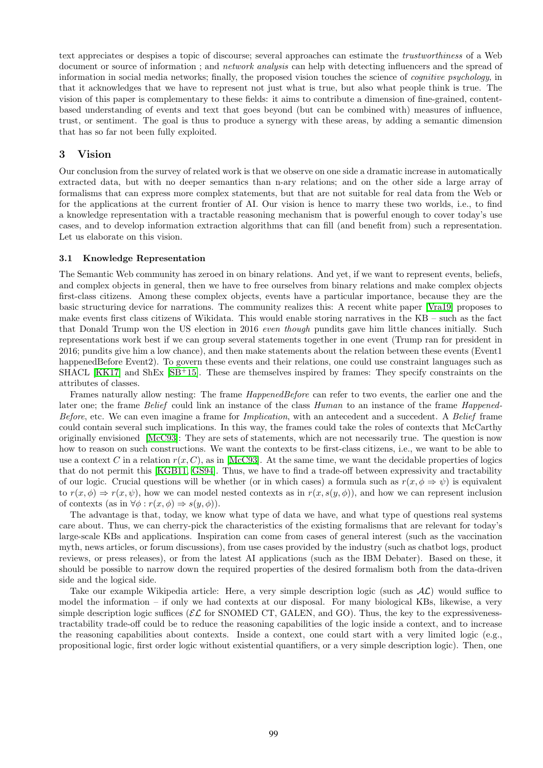text appreciates or despises a topic of discourse; several approaches can estimate the *trustworthiness* of a Web document or source of information ; and *network analysis* can help with detecting influencers and the spread of information in social media networks; finally, the proposed vision touches the science of *cognitive psychology*, in that it acknowledges that we have to represent not just what is true, but also what people think is true. The vision of this paper is complementary to these fields: it aims to contribute a dimension of fine-grained, contentbased understanding of events and text that goes beyond (but can be combined with) measures of influence, trust, or sentiment. The goal is thus to produce a synergy with these areas, by adding a semantic dimension that has so far not been fully exploited.

## 3 Vision

Our conclusion from the survey of related work is that we observe on one side a dramatic increase in automatically extracted data, but with no deeper semantics than n-ary relations; and on the other side a large array of formalisms that can express more complex statements, but that are not suitable for real data from the Web or for the applications at the current frontier of AI. Our vision is hence to marry these two worlds, i.e., to find a knowledge representation with a tractable reasoning mechanism that is powerful enough to cover today's use cases, and to develop information extraction algorithms that can fill (and benefit from) such a representation. Let us elaborate on this vision.

#### 3.1 Knowledge Representation

The Semantic Web community has zeroed in on binary relations. And yet, if we want to represent events, beliefs, and complex objects in general, then we have to free ourselves from binary relations and make complex objects first-class citizens. Among these complex objects, events have a particular importance, because they are the basic structuring device for narrations. The community realizes this: A recent white paper [\[Vra19\]](#page-8-21) proposes to make events first class citizens of Wikidata. This would enable storing narratives in the KB – such as the fact that Donald Trump won the US election in 2016 *even though* pundits gave him little chances initially. Such representations work best if we can group several statements together in one event (Trump ran for president in 2016; pundits give him a low chance), and then make statements about the relation between these events (Event1 happenedBefore Event2). To govern these events and their relations, one could use constraint languages such as SHACL  $\overline{KKT}$  and ShEx  $\overline{SB+15}$ . These are themselves inspired by frames: They specify constraints on the attributes of classes.

Frames naturally allow nesting: The frame *HappenedBefore* can refer to two events, the earlier one and the later one; the frame *Belief* could link an instance of the class *Human* to an instance of the frame *Happened-Before*, etc. We can even imagine a frame for *Implication*, with an antecedent and a succedent. A *Belief* frame could contain several such implications. In this way, the frames could take the roles of contexts that McCarthy originally envisioned **McC93**: They are sets of statements, which are not necessarily true. The question is now how to reason on such constructions. We want the contexts to be first-class citizens, i.e., we want to be able to use a context *C* in a relation  $r(x, C)$ , as in **McC93**. At the same time, we want the decidable properties of logics that do not permit this **KGB11**, **GS94**. Thus, we have to find a trade-off between expressivity and tractability of our logic. Crucial questions will be whether (or in which cases) a formula such as  $r(x, \phi \Rightarrow \psi)$  is equivalent to  $r(x, \phi) \Rightarrow r(x, \psi)$ , how we can model nested contexts as in  $r(x, s(y, \phi))$ , and how we can represent inclusion of contexts (as in  $\forall \phi : r(x, \phi) \Rightarrow s(y, \phi)$ ).

The advantage is that, today, we know what type of data we have, and what type of questions real systems care about. Thus, we can cherry-pick the characteristics of the existing formalisms that are relevant for today's large-scale KBs and applications. Inspiration can come from cases of general interest (such as the vaccination myth, news articles, or forum discussions), from use cases provided by the industry (such as chatbot logs, product reviews, or press releases), or from the latest AI applications (such as the IBM Debater). Based on these, it should be possible to narrow down the required properties of the desired formalism both from the data-driven side and the logical side.

Take our example Wikipedia article: Here, a very simple description logic (such as  $AL$ ) would suffice to model the information – if only we had contexts at our disposal. For many biological KBs, likewise, a very simple description logic suffices ( $\mathcal{EL}$  for SNOMED CT, GALEN, and GO). Thus, the key to the expressivenesstractability trade-off could be to reduce the reasoning capabilities of the logic inside a context, and to increase the reasoning capabilities about contexts. Inside a context, one could start with a very limited logic (e.g., propositional logic, first order logic without existential quantifiers, or a very simple description logic). Then, one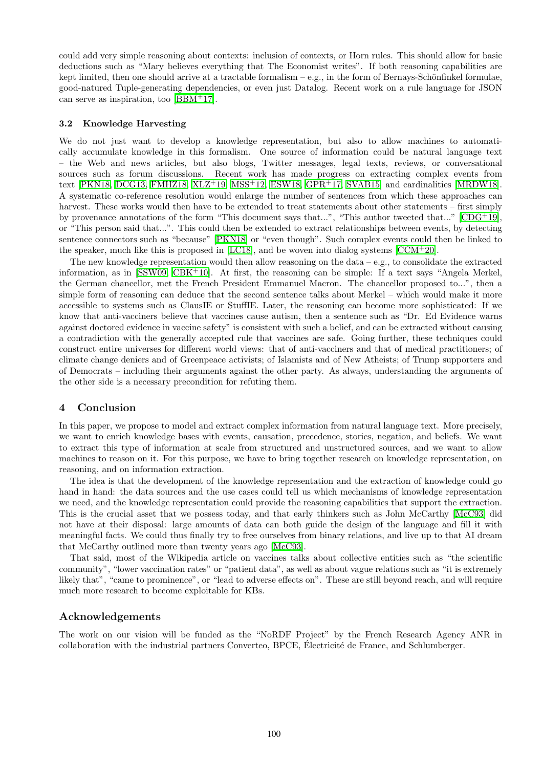could add very simple reasoning about contexts: inclusion of contexts, or Horn rules. This should allow for basic deductions such as "Mary believes everything that The Economist writes". If both reasoning capabilities are kept limited, then one should arrive at a tractable formalism – e.g., in the form of Bernays-Schönfinkel formulae, good-natured Tuple-generating dependencies, or even just Datalog. Recent work on a rule language for JSON can serve as inspiration, too  $\sqrt{BBM+17}$ .

#### 3.2 Knowledge Harvesting

We do not just want to develop a knowledge representation, but also to allow machines to automatically accumulate knowledge in this formalism. One source of information could be natural language text – the Web and news articles, but also blogs, Twitter messages, legal texts, reviews, or conversational sources such as forum discussions. Recent work has made progress on extracting complex events from text PKN18, [DCG13,](#page-6-16) [FMHZ18,](#page-7-18) [XLZ](#page-9-2)<sup>+</sup>19, [MSS](#page-8-17)<sup>+</sup>12, [ESW18,](#page-7-19) [GPR](#page-7-16)<sup>+</sup>17, SVAB15 and cardinalities MRDW18. A systematic co-reference resolution would enlarge the number of sentences from which these approaches can harvest. These works would then have to be extended to treat statements about other statements – first simply by provenance annotations of the form "This document says that...", "This author tweeted that..."  $[CDG^+19]$  $[CDG^+19]$ . or "This person said that...". This could then be extended to extract relationships between events, by detecting sentence connectors such as "because" **PKN18** or "even though". Such complex events could then be linked to the speaker, much like this is proposed in  $[LC18]$ , and be woven into dialog systems  $[CCM^+20]$  $[CCM^+20]$ .

The new knowledge representation would then allow reasoning on the data – e.g., to consolidate the extracted information, as in  $\overline{\text{SSW09}}$ ,  $\overline{\text{CBK}+10}$ . At first, the reasoning can be simple: If a text says "Angela Merkel, the German chancellor, met the French President Emmanuel Macron. The chancellor proposed to...", then a simple form of reasoning can deduce that the second sentence talks about Merkel – which would make it more accessible to systems such as ClausIE or StuffIE. Later, the reasoning can become more sophisticated: If we know that anti-vacciners believe that vaccines cause autism, then a sentence such as "Dr. Ed Evidence warns against doctored evidence in vaccine safety" is consistent with such a belief, and can be extracted without causing a contradiction with the generally accepted rule that vaccines are safe. Going further, these techniques could construct entire universes for different world views: that of anti-vacciners and that of medical practitioners; of climate change deniers and of Greenpeace activists; of Islamists and of New Atheists; of Trump supporters and of Democrats – including their arguments against the other party. As always, understanding the arguments of the other side is a necessary precondition for refuting them.

## 4 Conclusion

In this paper, we propose to model and extract complex information from natural language text. More precisely, we want to enrich knowledge bases with events, causation, precedence, stories, negation, and beliefs. We want to extract this type of information at scale from structured and unstructured sources, and we want to allow machines to reason on it. For this purpose, we have to bring together research on knowledge representation, on reasoning, and on information extraction.

The idea is that the development of the knowledge representation and the extraction of knowledge could go hand in hand: the data sources and the use cases could tell us which mechanisms of knowledge representation we need, and the knowledge representation could provide the reasoning capabilities that support the extraction. This is the crucial asset that we possess today, and that early thinkers such as John McCarthy **[McC93**] did not have at their disposal: large amounts of data can both guide the design of the language and fill it with meaningful facts. We could thus finally try to free ourselves from binary relations, and live up to that AI dream that McCarthy outlined more than twenty years ago [\[McC93\]](#page-8-7).

That said, most of the Wikipedia article on vaccines talks about collective entities such as "the scientific community", "lower vaccination rates" or "patient data", as well as about vague relations such as "it is extremely likely that", "came to prominence", or "lead to adverse effects on". These are still beyond reach, and will require much more research to become exploitable for KBs.

#### Acknowledgements

The work on our vision will be funded as the "NoRDF Project" by the French Research Agency ANR in collaboration with the industrial partners Converteo, BPCE, Electricité de France, and Schlumberger.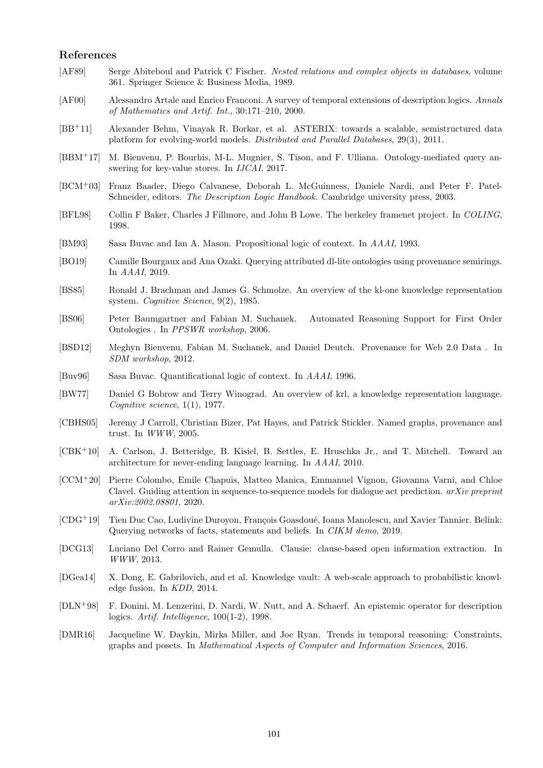## References

- <span id="page-6-3"></span>[AF89] Serge Abiteboul and Patrick C Fischer. *Nested relations and complex objects in databases*, volume 361. Springer Science & Business Media, 1989.
- <span id="page-6-14"></span>[AF00] Alessandro Artale and Enrico Franconi. A survey of temporal extensions of description logics. *Annals of Mathematics and Artif. Int.*, 30:171–210, 2000.
- <span id="page-6-4"></span>[BB+11] Alexander Behm, Vinayak R. Borkar, et al. ASTERIX: towards a scalable, semistructured data platform for evolving-world models. *Distributed and Parallel Databases*, 29(3), 2011.
- <span id="page-6-18"></span>[BBM+17] M. Bienvenu, P. Bourhis, M-L. Mugnier, S. Tison, and F. Ulliana. Ontology-mediated query answering for key-value stores. In *IJCAI*, 2017.
- <span id="page-6-5"></span>[BCM+03] Franz Baader, Diego Calvanese, Deborah L. McGuinness, Daniele Nardi, and Peter F. Patel-Schneider, editors. *The Description Logic Handbook*. Cambridge university press, 2003.
- <span id="page-6-2"></span>[BFL98] Collin F Baker, Charles J Fillmore, and John B Lowe. The berkeley framenet project. In *COLING*, 1998.
- <span id="page-6-8"></span>[BM93] Sasa Buvac and Ian A. Mason. Propositional logic of context. In *AAAI*, 1993.
- <span id="page-6-12"></span>[BO19] Camille Bourgaux and Ana Ozaki. Querying attributed dl-lite ontologies using provenance semirings. In *AAAI*, 2019.
- <span id="page-6-0"></span>[BS85] Ronald J. Brachman and James G. Schmolze. An overview of the kl-one knowledge representation system. *Cognitive Science*, 9(2), 1985.
- <span id="page-6-7"></span>[BS06] Peter Baumgartner and Fabian M. Suchanek. Automated Reasoning Support for First Order Ontologies . In *PPSWR workshop*, 2006.
- <span id="page-6-11"></span>[BSD12] Meghyn Bienvenu, Fabian M. Suchanek, and Daniel Deutch. Provenance for Web 2.0 Data . In *SDM workshop*, 2012.
- <span id="page-6-9"></span>[Buv96] Sasa Buvac. Quantificational logic of context. In *AAAI*, 1996.
- <span id="page-6-1"></span>[BW77] Daniel G Bobrow and Terry Winograd. An overview of krl, a knowledge representation language. *Cognitive science*, 1(1), 1977.
- <span id="page-6-6"></span>[CBHS05] Jeremy J Carroll, Christian Bizer, Pat Hayes, and Patrick Stickler. Named graphs, provenance and trust. In *WWW*, 2005.
- <span id="page-6-20"></span>[CBK<sup>+</sup>10] A. Carlson, J. Betteridge, B. Kisiel, B. Settles, E. Hruschka Jr., and T. Mitchell. Toward an architecture for never-ending language learning. In *AAAI*, 2010.
- <span id="page-6-19"></span>[CCM<sup>+</sup>20] Pierre Colombo, Emile Chapuis, Matteo Manica, Emmanuel Vignon, Giovanna Varni, and Chloe Clavel. Guiding attention in sequence-to-sequence models for dialogue act prediction. *arXiv preprint arXiv:2002.08801*, 2020.
- <span id="page-6-17"></span>[CDG+19] Tien Duc Cao, Ludivine Duroyon, François Goasdoué, Ioana Manolescu, and Xavier Tannier. Belink: Querying networks of facts, statements and beliefs. In *CIKM demo*, 2019.
- <span id="page-6-16"></span>[DCG13] Luciano Del Corro and Rainer Gemulla. Clausie: clause-based open information extraction. In *WWW*, 2013.
- <span id="page-6-15"></span>[DGea14] X. Dong, E. Gabrilovich, and et al. Knowledge vault: A web-scale approach to probabilistic knowledge fusion. In *KDD*, 2014.
- <span id="page-6-10"></span>[DLN<sup>+</sup>98] F. Donini, M. Lenzerini, D. Nardi, W. Nutt, and A. Schaerf. An epistemic operator for description logics. *Artif. Intelligence*, 100(1-2), 1998.
- <span id="page-6-13"></span>[DMR16] Jacqueline W. Daykin, Mirka Miller, and Joe Ryan. Trends in temporal reasoning: Constraints, graphs and posets. In *Mathematical Aspects of Computer and Information Sciences*, 2016.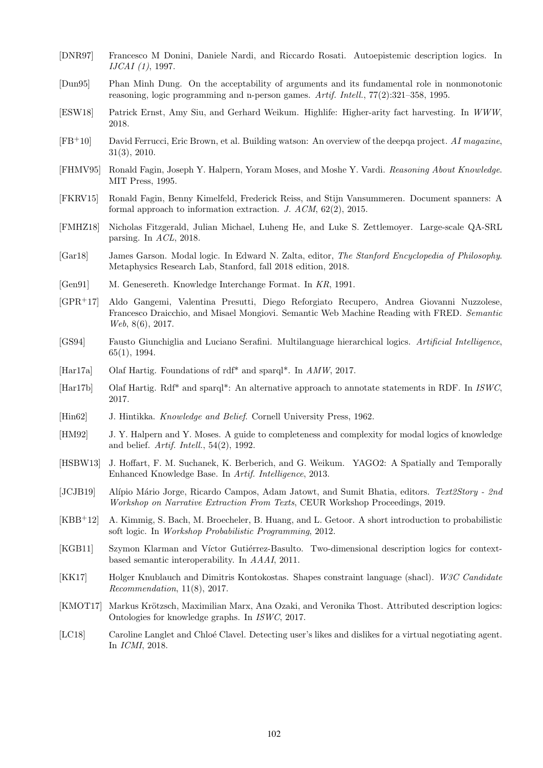- <span id="page-7-9"></span>[DNR97] Francesco M Donini, Daniele Nardi, and Riccardo Rosati. Autoepistemic description logics. In *IJCAI (1)*, 1997.
- <span id="page-7-11"></span>[Dun95] Phan Minh Dung. On the acceptability of arguments and its fundamental role in nonmonotonic reasoning, logic programming and n-person games. *Artif. Intell.*, 77(2):321–358, 1995.
- <span id="page-7-19"></span>[ESW18] Patrick Ernst, Amy Siu, and Gerhard Weikum. Highlife: Higher-arity fact harvesting. In *WWW*, 2018.
- <span id="page-7-14"></span>[FB+10] David Ferrucci, Eric Brown, et al. Building watson: An overview of the deepqa project. *AI magazine*, 31(3), 2010.
- <span id="page-7-7"></span>[FHMV95] Ronald Fagin, Joseph Y. Halpern, Yoram Moses, and Moshe Y. Vardi. *Reasoning About Knowledge*. MIT Press, 1995.
- <span id="page-7-17"></span>[FKRV15] Ronald Fagin, Benny Kimelfeld, Frederick Reiss, and Stijn Vansummeren. Document spanners: A formal approach to information extraction. *J. ACM*, 62(2), 2015.
- <span id="page-7-18"></span>[FMHZ18] Nicholas Fitzgerald, Julian Michael, Luheng He, and Luke S. Zettlemoyer. Large-scale QA-SRL parsing. In *ACL*, 2018.
- <span id="page-7-8"></span>[Gar18] James Garson. Modal logic. In Edward N. Zalta, editor, *The Stanford Encyclopedia of Philosophy*. Metaphysics Research Lab, Stanford, fall 2018 edition, 2018.
- <span id="page-7-3"></span>[Gen91] M. Genesereth. Knowledge Interchange Format. In *KR*, 1991.
- <span id="page-7-16"></span>[GPR<sup>+</sup>17] Aldo Gangemi, Valentina Presutti, Diego Reforgiato Recupero, Andrea Giovanni Nuzzolese, Francesco Draicchio, and Misael Mongiovi. Semantic Web Machine Reading with FRED. *Semantic Web*, 8(6), 2017.
- <span id="page-7-5"></span>[GS94] Fausto Giunchiglia and Luciano Serafini. Multilanguage hierarchical logics. *Artificial Intelligence*, 65(1), 1994.
- <span id="page-7-0"></span>[Har17a] Olaf Hartig. Foundations of rdf\* and sparql\*. In *AMW*, 2017.
- <span id="page-7-1"></span>[Har17b] Olaf Hartig. Rdf\* and sparql\*: An alternative approach to annotate statements in RDF. In *ISWC*, 2017.
- <span id="page-7-6"></span>[Hin62] J. Hintikka. *Knowledge and Belief*. Cornell University Press, 1962.
- <span id="page-7-10"></span>[HM92] J. Y. Halpern and Y. Moses. A guide to completeness and complexity for modal logics of knowledge and belief. *Artif. Intell.*, 54(2), 1992.
- <span id="page-7-15"></span>[HSBW13] J. Hoffart, F. M. Suchanek, K. Berberich, and G. Weikum. YAGO2: A Spatially and Temporally Enhanced Knowledge Base. In *Artif. Intelligence*, 2013.
- <span id="page-7-20"></span>[JCJB19] Al´ıpio M´ario Jorge, Ricardo Campos, Adam Jatowt, and Sumit Bhatia, editors. *Text2Story - 2nd Workshop on Narrative Extraction From Texts*, CEUR Workshop Proceedings, 2019.
- <span id="page-7-13"></span>[KBB<sup>+</sup>12] A. Kimmig, S. Bach, M. Broecheler, B. Huang, and L. Getoor. A short introduction to probabilistic soft logic. In *Workshop Probabilistic Programming*, 2012.
- <span id="page-7-4"></span>[KGB11] Szymon Klarman and Víctor Gutiérrez-Basulto. Two-dimensional description logics for contextbased semantic interoperability. In *AAAI*, 2011.
- <span id="page-7-2"></span>[KK17] Holger Knublauch and Dimitris Kontokostas. Shapes constraint language (shacl). *W3C Candidate Recommendation*, 11(8), 2017.
- <span id="page-7-12"></span>[KMOT17] Markus Krötzsch, Maximilian Marx, Ana Ozaki, and Veronika Thost. Attributed description logics: Ontologies for knowledge graphs. In *ISWC*, 2017.
- <span id="page-7-21"></span>[LC18] Caroline Langlet and Chloé Clavel. Detecting user's likes and dislikes for a virtual negotiating agent. In *ICMI*, 2018.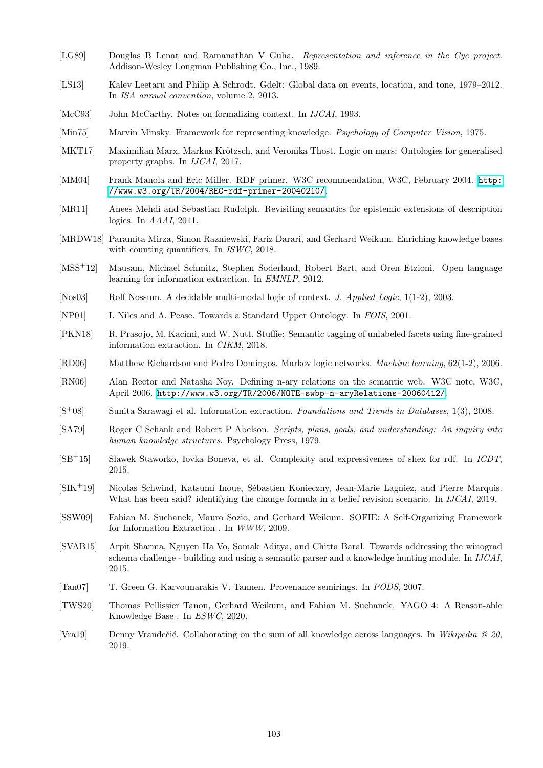- <span id="page-8-5"></span>[LG89] Douglas B Lenat and Ramanathan V Guha. *Representation and inference in the Cyc project*. Addison-Wesley Longman Publishing Co., Inc., 1989.
- <span id="page-8-18"></span>[LS13] Kalev Leetaru and Philip A Schrodt. Gdelt: Global data on events, location, and tone, 1979–2012. In *ISA annual convention*, volume 2, 2013.
- <span id="page-8-7"></span>[McC93] John McCarthy. Notes on formalizing context. In *IJCAI*, 1993.
- <span id="page-8-0"></span>[Min75] Marvin Minsky. Framework for representing knowledge. *Psychology of Computer Vision*, 1975.
- <span id="page-8-12"></span>[MKT17] Maximilian Marx, Markus Krötzsch, and Veronika Thost. Logic on mars: Ontologies for generalised property graphs. In *IJCAI*, 2017.
- <span id="page-8-2"></span>[MM04] Frank Manola and Eric Miller. RDF primer. W3C recommendation, W3C, February 2004. [http:](http://www.w3.org/TR/2004/REC-rdf-primer-20040210/) [//www.w3.org/TR/2004/REC-rdf-primer-20040210/](http://www.w3.org/TR/2004/REC-rdf-primer-20040210/).
- <span id="page-8-9"></span>[MR11] Anees Mehdi and Sebastian Rudolph. Revisiting semantics for epistemic extensions of description logics. In *AAAI*, 2011.
- <span id="page-8-22"></span>[MRDW18] Paramita Mirza, Simon Razniewski, Fariz Darari, and Gerhard Weikum. Enriching knowledge bases with counting quantifiers. In *ISWC*, 2018.
- <span id="page-8-17"></span>[MSS+12] Mausam, Michael Schmitz, Stephen Soderland, Robert Bart, and Oren Etzioni. Open language learning for information extraction. In *EMNLP*, 2012.
- <span id="page-8-8"></span>[Nos03] Rolf Nossum. A decidable multi-modal logic of context. *J. Applied Logic*, 1(1-2), 2003.
- <span id="page-8-6"></span>[NP01] I. Niles and A. Pease. Towards a Standard Upper Ontology. In *FOIS*, 2001.
- <span id="page-8-20"></span>[PKN18] R. Prasojo, M. Kacimi, and W. Nutt. Stuffie: Semantic tagging of unlabeled facets using fine-grained information extraction. In *CIKM*, 2018.
- <span id="page-8-13"></span>[RD06] Matthew Richardson and Pedro Domingos. Markov logic networks. *Machine learning*, 62(1-2), 2006.
- <span id="page-8-3"></span>[RN06] Alan Rector and Natasha Noy. Defining n-ary relations on the semantic web. W3C note, W3C, April 2006. <http://www.w3.org/TR/2006/NOTE-swbp-n-aryRelations-20060412/>.
- <span id="page-8-15"></span>[S<sup>+</sup>08] Sunita Sarawagi et al. Information extraction. *Foundations and Trends in Databases*, 1(3), 2008.
- <span id="page-8-1"></span>[SA79] Roger C Schank and Robert P Abelson. *Scripts, plans, goals, and understanding: An inquiry into human knowledge structures*. Psychology Press, 1979.
- <span id="page-8-4"></span>[SB<sup>+</sup>15] Slawek Staworko, Iovka Boneva, et al. Complexity and expressiveness of shex for rdf. In *ICDT*, 2015.
- <span id="page-8-10"></span>[SIK<sup>+19]</sup> Nicolas Schwind, Katsumi Inoue, Sébastien Konieczny, Jean-Marie Lagniez, and Pierre Marquis. What has been said? identifying the change formula in a belief revision scenario. In *IJCAI*, 2019.
- <span id="page-8-19"></span>[SSW09] Fabian M. Suchanek, Mauro Sozio, and Gerhard Weikum. SOFIE: A Self-Organizing Framework for Information Extraction . In *WWW*, 2009.
- <span id="page-8-16"></span>[SVAB15] Arpit Sharma, Nguyen Ha Vo, Somak Aditya, and Chitta Baral. Towards addressing the winograd schema challenge - building and using a semantic parser and a knowledge hunting module. In *IJCAI*, 2015.
- <span id="page-8-11"></span>[Tan07] T. Green G. Karvounarakis V. Tannen. Provenance semirings. In *PODS*, 2007.
- <span id="page-8-14"></span>[TWS20] Thomas Pellissier Tanon, Gerhard Weikum, and Fabian M. Suchanek. YAGO 4: A Reason-able Knowledge Base . In *ESWC*, 2020.
- <span id="page-8-21"></span>[Vra19] Denny Vrandeˇci´c. Collaborating on the sum of all knowledge across languages. In *Wikipedia @ 20*, 2019.